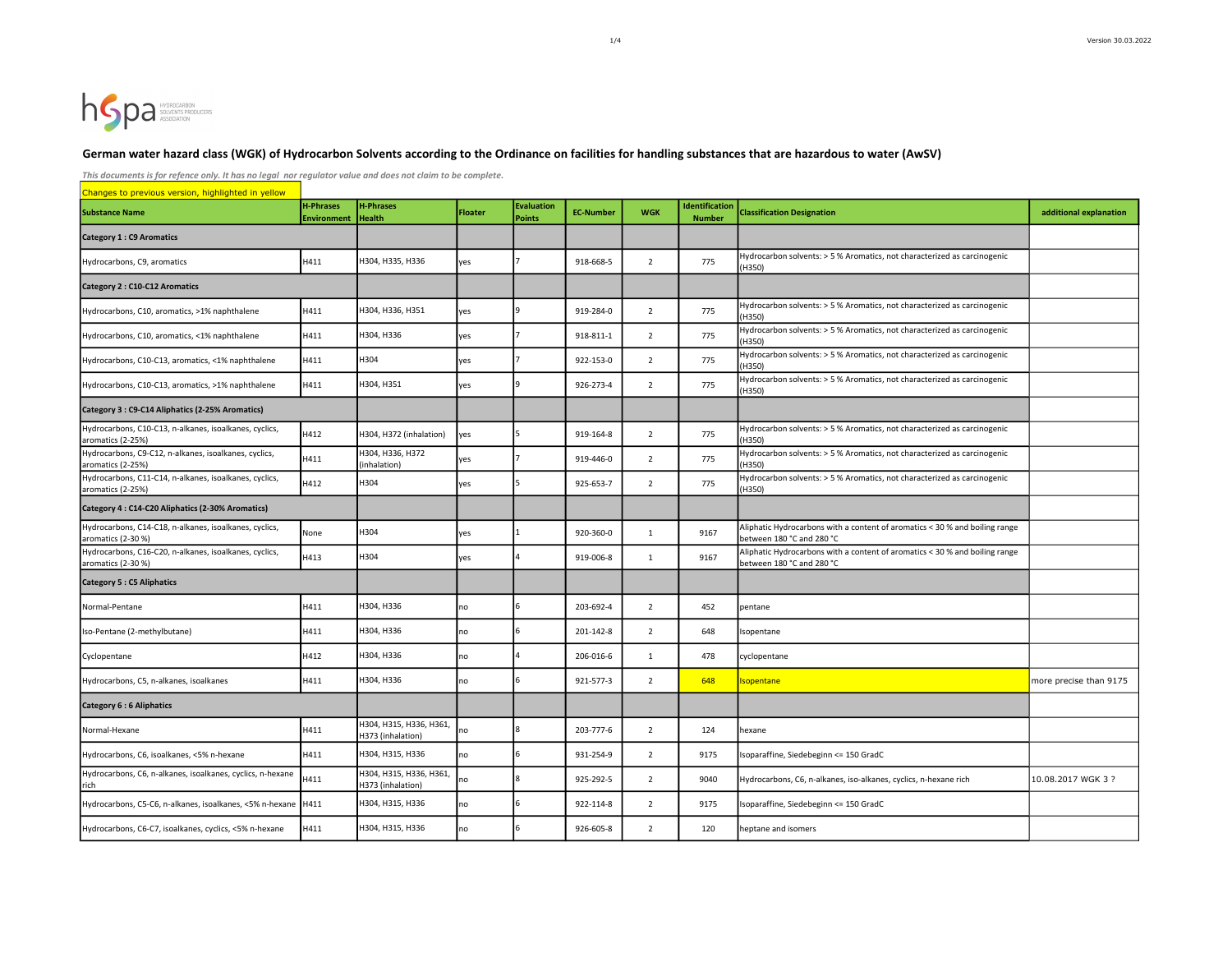# hSpa SOLVENTS PRODUCERS

#### German water hazard class (WGK) of Hydrocarbon Solvents according to the Ordinance on facilities for handling substances that are hazardous to water (AwSV)

This documents is for refence only. It has no legal nor regulator value and does not claim to be complete.

Changes to previous version, highlighted in yellow Substance Name H-Phrases and the H-Phrases and the H-Phrases and the H-Phrases and the H-Phrases and the H-Phrases and the H-Phrases and the H-Phrases and the H-Phrases and the H-Phrases and the H-Phrases and the H-Phrases Environment H-Phrases H-Phrases **Floater** Evaluation<br>
Health **Floater** Points **Evaluation** EC-Number WGK dentification **Classification Designation Classification Designation additional explanation** Category 1 : C9 Aromatics Hydrocarbons, C9, aromatics https://www.matics.com/matics/matics/matics/matics/matics/matics/matics/matics/matics/matics/matics/matics/matics/matics/matics/matics/matics/matics/matics/matics/matics/matics/matics/matics/mat (H350) Category 2 : C10-C12 Aromatics Hydrocarbons, C10, aromatics, >1% naphthalene H411 H304, H336, H351 yes 9 919-284-0 2 775 Hydrocarbon solvents: > 5 % Aromatics, not characterized as carcinogenic (H350) Hydrocarbons, C10, aromatics, <1% naphthalene H411 H304, H336 yes <sup>7</sup> 918-811-1 2 775 Hydrocarbon solvents: > 5 % Aromatics, not characterized as carcinogenic (H350) Hydrocarbons, C10-C13, aromatics, <1% naphthalene H411 H304 yes <sup>7</sup> 922-153-0 2 775 Hydrocarbon solvents: > 5 % Aromatics, not characterized as carcinogenic (H350) Hydrocarbons, C10-C13, aromatics, >1% naphthalene H411 H304, H351 yes 9 926-273-4 2 775 Hydrocarbon solvents: > 5 % Aromatics, not characterized as carcinogenic (H350) Category 3 : C9-C14 Aliphatics (2-25% Aromatics) Hydrocarbons, C10-C13, n-alkanes, isoalkanes, cyclics, Hydrocarbons, C10-C13, n-alkanes, isoalkanes, cyclics, H412 H304, H372 (inhalation) yes 5 919-164-8 2 775 Hydrocarbon solvents: > 5 % Aromatics, not characterized as carcinogenic (H350) Hydrocarbons, C9-C12, n-alkanes, isoalkanes, cyclics, <br>aromatics (2-25%) H411 (inhalation) H306, H336, H372 yes 7 919-446-0 2 775 Hydrocarbon solvents: > 5 % Aromatics, not characterized as carcinogenic<br>(inhalation) (H350) Hydrocarbons, C11-C14, n-alkanes, isoalkanes, cyclics, H412 H304 yes 5 925-653-7 2 775 Hydrocarbon solvents: > 5 % Aromatics, not characterized as carcinogenic (H350) Category 4 : C14-C20 Aliphatics (2-30% Aromatics) Hydrocarbons, C14-C18, n-alkanes, isoalkanes, cyclics, Aromatics (2-30 %) Hydrocarbons, C14-C18, n-alkanes, isoalkanes, cyclics, None H304 yes 1 920-360-0 1 9167 Aliphatic Hydrocarbons with a content of aromatics < 30 % and boiling range aromatics of a content of aromatics < 3 between 180 °C and 280 °C Hydrocarbons, C16-C20, n-alkanes, isoalkanes, cyclics, H413 H304 yes 4 919-006-8 1 9167 Aliphatic Hydrocarbons with a content of aromatics < 30 % and boiling range between 180 °C and 280 °C Category 5 : C5 Aliphatics Normal-Pentane 1990 1991 1992 1994 14411 H304, H336 110 10 10 10 1203-692-4 2 452 pentane Iso-Pentane (2-methylbutane) **H411** H304, H336 no 6 201-142-8 2 648 Isopentane Cyclopentane 1980 1991 H204, H312 H304, H336 no 4 206-016-6 1 478 cyclopentane Hydrocarbons, C5, n-alkanes, isoalkanes H411 H304, H336 no 6 921-577-3 2 648 Isopentane more more precise than 9175 Category 6 : 6 Aliphatics Normal-Hexane **H411** H411 H304, H315, H336, H361, H373 (inhalation) nov4, no 10, no 11, no 11, no 11, and 100 11 124 hexane<br>H373 (inhalation) no 13 8 203-777-6 2 124 hexane Hydrocarbons, C6, isoalkanes, <5% n-hexane H411 H411 H304, H315, H336 no 6 931-254-9 931-264-9 93175 Isoparaffine, Siedebeginn <= 150 GradC Hydrocarbons, C6, n-alkanes, isoalkanes, cyclics, n-hexane H411 H304, H315, H336, H361, H316, H361, H316, H361, H304, H315, H336, H361, no 8 925-292-5 2 9040 Hydrocarbons, C6, n-alkanes, iso-alkanes, cyclics, n-hexane rich 10.08.2017 WGK 3 ? Hydrocarbons, C5-C6, n-alkanes, isoalkanes, <5% n-hexane H411 H304, H315, H336 no 6 922-114-8 2 9175 Isoparaffine, Siedebeginn <= 150 GradC Hydrocarbons, C6-C7, isoalkanes, cyclics, <5% n-hexane H411 H304, H315, H336 no 6 926-605-8 2 120 heptane and isomers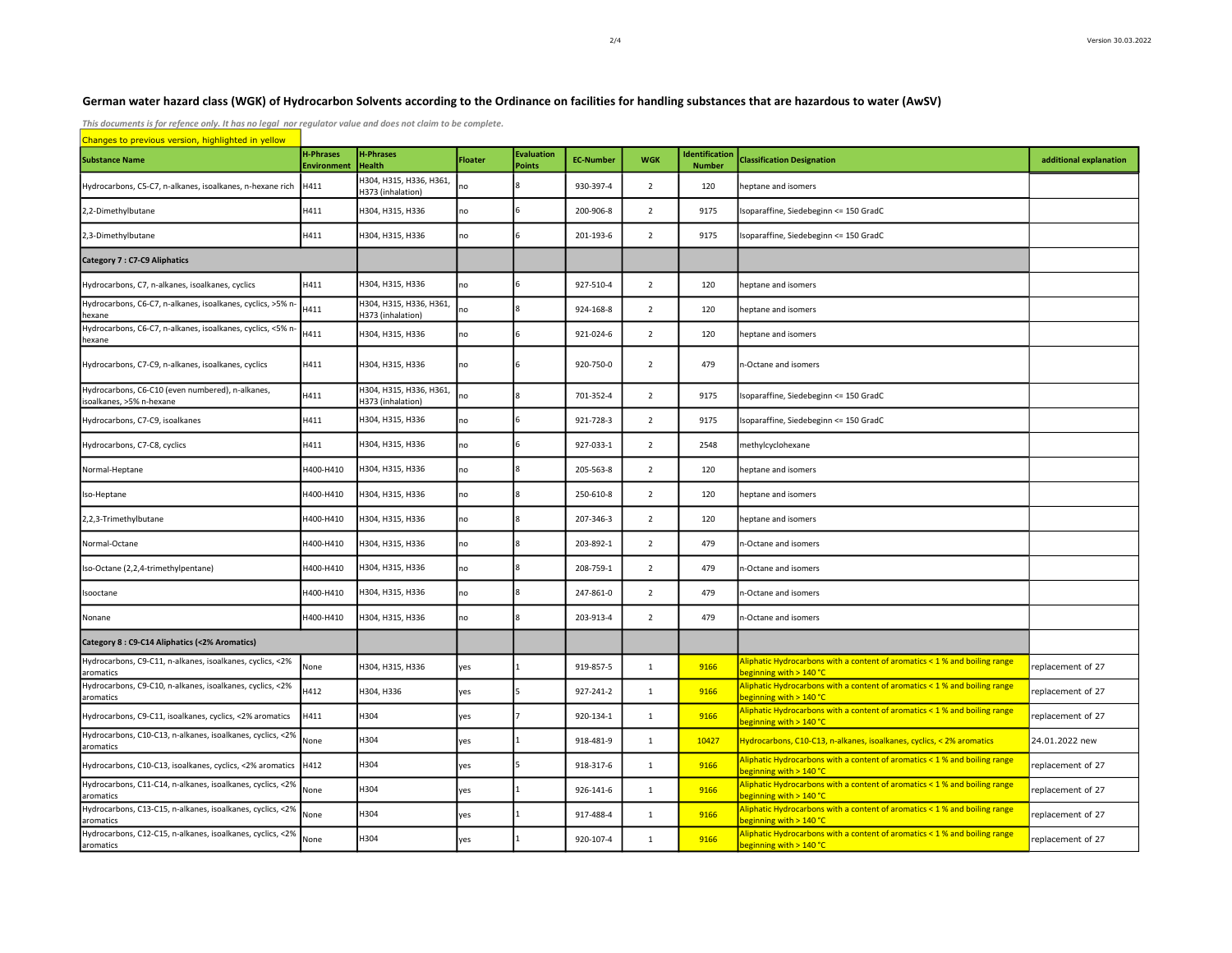## German water hazard class (WGK) of Hydrocarbon Solvents according to the Ordinance on facilities for handling substances that are hazardous to water (AwSV)

This documents is for refence only. It has no legal nor regulator value and does not claim to be complete.

| Changes to previous version, highlighted in yellow                           |                                        |                                              |                |                             |                  |                |                                       |                                                                                                       |                        |
|------------------------------------------------------------------------------|----------------------------------------|----------------------------------------------|----------------|-----------------------------|------------------|----------------|---------------------------------------|-------------------------------------------------------------------------------------------------------|------------------------|
| <b>Substance Name</b>                                                        | <b>H-Phrases</b><br><b>Environment</b> | <b>H-Phrases</b><br><b>Health</b>            | <b>Floater</b> | <b>Evaluation</b><br>Points | <b>EC-Number</b> | <b>WGK</b>     | <b>dentification</b><br><b>Number</b> | <b>Classification Designation</b>                                                                     | additional explanation |
| Hydrocarbons, C5-C7, n-alkanes, isoalkanes, n-hexane rich                    | H411                                   | H304, H315, H336, H361,<br>H373 (inhalation) | no             |                             | 930-397-4        | $\overline{2}$ | 120                                   | heptane and isomers                                                                                   |                        |
| 2,2-Dimethylbutane                                                           | H411                                   | H304, H315, H336                             | no             | 6                           | 200-906-8        | $\overline{2}$ | 9175                                  | soparaffine, Siedebeginn <= 150 GradC                                                                 |                        |
| 2,3-Dimethylbutane                                                           | H411                                   | H304, H315, H336                             | no             | 6                           | 201-193-6        | $\overline{2}$ | 9175                                  | Isoparaffine, Siedebeginn <= 150 GradC                                                                |                        |
| <b>Category 7: C7-C9 Aliphatics</b>                                          |                                        |                                              |                |                             |                  |                |                                       |                                                                                                       |                        |
| Hydrocarbons, C7, n-alkanes, isoalkanes, cyclics                             | H411                                   | H304, H315, H336                             | no             | 6                           | 927-510-4        | $\overline{2}$ | 120                                   | eptane and isomers                                                                                    |                        |
| Hydrocarbons, C6-C7, n-alkanes, isoalkanes, cyclics, >5% n<br>hexane         | H411                                   | H304, H315, H336, H361,<br>H373 (inhalation) | no             | 8                           | 924-168-8        | $\overline{2}$ | 120                                   | eptane and isomers                                                                                    |                        |
| Hydrocarbons, C6-C7, n-alkanes, isoalkanes, cyclics, <5% n<br>hexane         | H411                                   | H304, H315, H336                             | no             | 6                           | 921-024-6        | $\overline{2}$ | 120                                   | eptane and isomers                                                                                    |                        |
| Hydrocarbons, C7-C9, n-alkanes, isoalkanes, cyclics                          | H411                                   | H304, H315, H336                             | no             | 6                           | 920-750-0        | $\overline{2}$ | 479                                   | n-Octane and isomers                                                                                  |                        |
| Hydrocarbons, C6-C10 (even numbered), n-alkanes,<br>isoalkanes, >5% n-hexane | H411                                   | H304, H315, H336, H361,<br>H373 (inhalation) | no             | 8                           | 701-352-4        | $\overline{2}$ | 9175                                  | soparaffine, Siedebeginn <= 150 GradC                                                                 |                        |
| Hydrocarbons, C7-C9, isoalkanes                                              | H411                                   | H304, H315, H336                             | no             | 6                           | 921-728-3        | $\overline{2}$ | 9175                                  | Isoparaffine, Siedebeginn <= 150 GradC                                                                |                        |
| Hydrocarbons, C7-C8, cyclics                                                 | H411                                   | H304, H315, H336                             | no             | 6                           | 927-033-1        | $\overline{2}$ | 2548                                  | methylcyclohexane                                                                                     |                        |
| Normal-Heptane                                                               | H400-H410                              | H304, H315, H336                             | no             | R                           | 205-563-8        | $\overline{2}$ | 120                                   | eptane and isomers                                                                                    |                        |
| Iso-Heptane                                                                  | H400-H410                              | H304, H315, H336                             | no             | 8                           | 250-610-8        | $\overline{2}$ | 120                                   | eptane and isomers                                                                                    |                        |
| 2,2,3-Trimethylbutane                                                        | H400-H410                              | H304, H315, H336                             | no             | R                           | 207-346-3        | $\overline{2}$ | 120                                   | eptane and isomers                                                                                    |                        |
| Normal-Octane                                                                | H400-H410                              | H304, H315, H336                             | no             | 8                           | 203-892-1        | $\overline{2}$ | 479                                   | 1-Octane and isomers                                                                                  |                        |
| Iso-Octane (2,2,4-trimethylpentane)                                          | H400-H410                              | H304, H315, H336                             | no             | 8                           | 208-759-1        | $\overline{2}$ | 479                                   | n-Octane and isomers                                                                                  |                        |
| Isooctane                                                                    | H400-H410                              | H304, H315, H336                             | no             |                             | 247-861-0        | $\overline{2}$ | 479                                   | 1-Octane and isomers                                                                                  |                        |
| Nonane                                                                       | H400-H410                              | H304, H315, H336                             | no             |                             | 203-913-4        | $\overline{2}$ | 479                                   | n-Octane and isomers                                                                                  |                        |
| Category 8 : C9-C14 Aliphatics (<2% Aromatics)                               |                                        |                                              |                |                             |                  |                |                                       |                                                                                                       |                        |
| Hydrocarbons, C9-C11, n-alkanes, isoalkanes, cyclics, <2%<br>aromatics       | None                                   | H304, H315, H336                             | yes            |                             | 919-857-5        | $\mathbf{1}$   | 9166                                  | Aliphatic Hydrocarbons with a content of aromatics < 1 % and boiling range<br>eginning with > 140 °C  | replacement of 27      |
| Hydrocarbons, C9-C10, n-alkanes, isoalkanes, cyclics, <2%<br>aromatics       | H412                                   | H304, H336                                   | yes            | 5                           | 927-241-2        | $\mathbf{1}$   | 9166                                  | Aliphatic Hydrocarbons with a content of aromatics < 1 % and boiling range<br>eginning with > 140 °C  | replacement of 27      |
| Hydrocarbons, C9-C11, isoalkanes, cyclics, <2% aromatics                     | H411                                   | H304                                         | yes            |                             | 920-134-1        | $\mathbf 1$    | 9166                                  | Niphatic Hydrocarbons with a content of aromatics < 1 % and boiling range<br>eginning with > 140 °C   | replacement of 27      |
| Hydrocarbons, C10-C13, n-alkanes, isoalkanes, cyclics, <2%<br>aromatics      | None                                   | H304                                         | yes            |                             | 918-481-9        | $\mathbf{1}$   | 10427                                 | Hydrocarbons, C10-C13, n-alkanes, isoalkanes, cyclics, < 2% aromatics                                 | 24.01.2022 new         |
| Hydrocarbons, C10-C13, isoalkanes, cyclics, <2% aromatics                    | H412                                   | H304                                         | yes            | 5                           | 918-317-6        | $\mathbf{1}$   | 9166                                  | Niphatic Hydrocarbons with a content of aromatics < 1 % and boiling range<br>eginning with > 140 °C   | replacement of 27      |
| Hydrocarbons, C11-C14, n-alkanes, isoalkanes, cyclics, <2%<br>aromatics      | None                                   | H304                                         | yes            |                             | 926-141-6        | $\mathbf{1}$   | 9166                                  | Aliphatic Hydrocarbons with a content of aromatics < 1 % and boiling range<br>beginning with > 140 °C | replacement of 27      |
| Hydrocarbons, C13-C15, n-alkanes, isoalkanes, cyclics, <2%<br>aromatics      | None                                   | H304                                         | yes            |                             | 917-488-4        | $\mathbf{1}$   | 9166                                  | Niphatic Hydrocarbons with a content of aromatics < 1 % and boiling range<br>eginning with > 140 °C   | replacement of 27      |
| Hydrocarbons, C12-C15, n-alkanes, isoalkanes, cyclics, <2%<br>aromatics      | None                                   | H304                                         | yes            |                             | 920-107-4        | $\mathbf{1}$   | 9166                                  | Aliphatic Hydrocarbons with a content of aromatics < 1 % and boiling range<br>beginning with > 140 °C | replacement of 27      |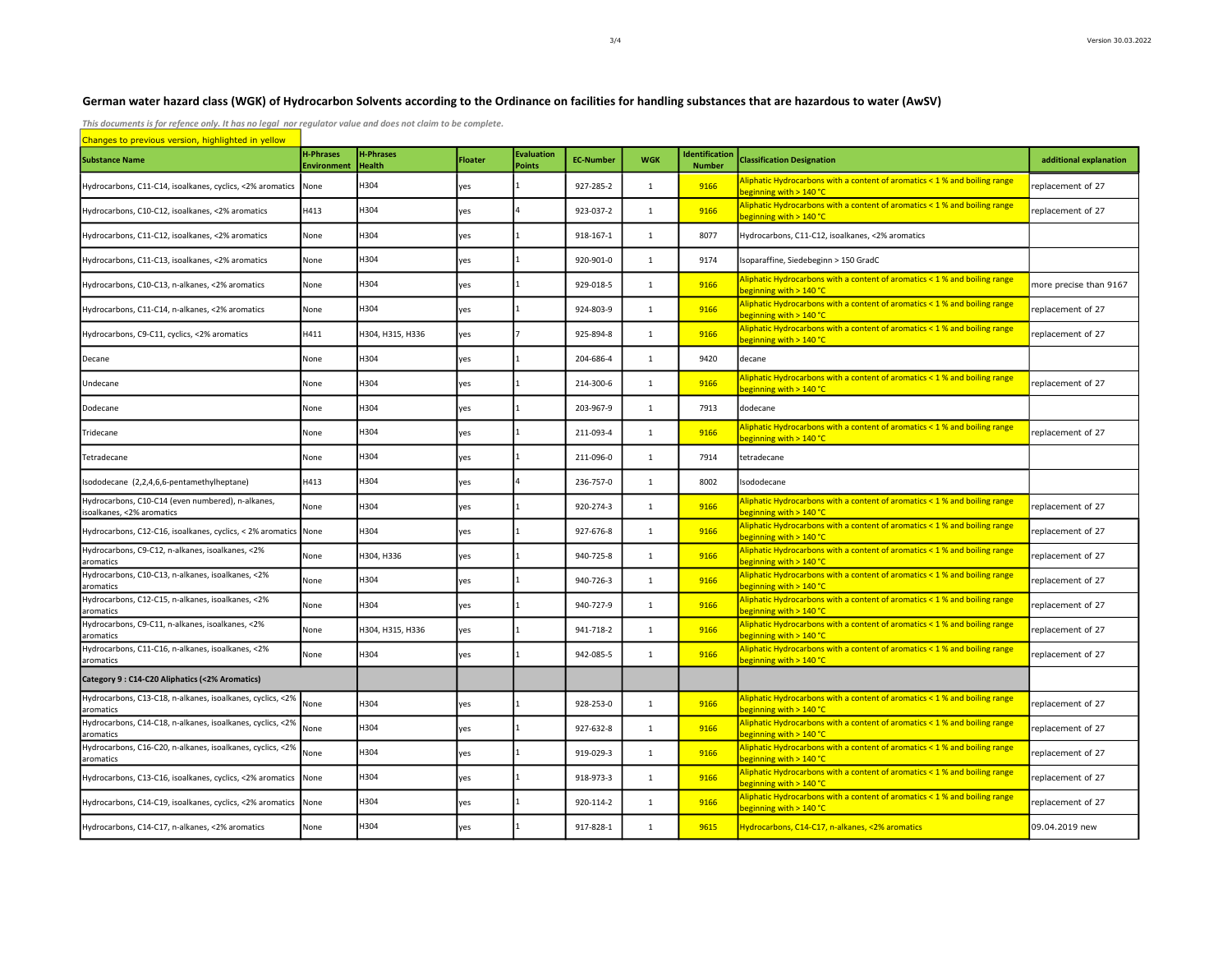## German water hazard class (WGK) of Hydrocarbon Solvents according to the Ordinance on facilities for handling substances that are hazardous to water (AwSV)

This documents is for refence only. It has no legal nor regulator value and does not claim to be complete.

| Changes to previous version, highlighted in yellow                             |                                 |                                   |                |                                    |                  |              |                                        |                                                                                                       |                        |  |
|--------------------------------------------------------------------------------|---------------------------------|-----------------------------------|----------------|------------------------------------|------------------|--------------|----------------------------------------|-------------------------------------------------------------------------------------------------------|------------------------|--|
| <b>Substance Name</b>                                                          | <b>H-Phrases</b><br>Environment | <b>H-Phrases</b><br><b>Health</b> | <b>Floater</b> | <b>Evaluation</b><br><b>Points</b> | <b>EC-Number</b> | <b>WGK</b>   | <b>Identification</b><br><b>Number</b> | <b>Classification Designation</b>                                                                     | additional explanation |  |
| Hydrocarbons, C11-C14, isoalkanes, cyclics, <2% aromatics                      | None                            | H304                              | yes            |                                    | 927-285-2        | 1            | 9166                                   | Aliphatic Hydrocarbons with a content of aromatics < 1 % and boiling range<br>peginning with > 140 °C | replacement of 27      |  |
| Hydrocarbons, C10-C12, isoalkanes, <2% aromatics                               | H413                            | H304                              | yes            |                                    | 923-037-2        | 1            | 9166                                   | Aliphatic Hydrocarbons with a content of aromatics < 1 % and boiling range<br>peginning with > 140 °C | replacement of 27      |  |
| Hydrocarbons, C11-C12, isoalkanes, <2% aromatics                               | None                            | H304                              | yes            |                                    | 918-167-1        | $\mathbf{1}$ | 8077                                   | Hydrocarbons, C11-C12, isoalkanes, <2% aromatics                                                      |                        |  |
| Hydrocarbons, C11-C13, isoalkanes, <2% aromatics                               | None                            | H304                              | yes            |                                    | 920-901-0        | $\mathbf{1}$ | 9174                                   | soparaffine, Siedebeginn > 150 GradC                                                                  |                        |  |
| Hydrocarbons, C10-C13, n-alkanes, <2% aromatics                                | None                            | H304                              | yes            |                                    | 929-018-5        | 1            | 9166                                   | Aliphatic Hydrocarbons with a content of aromatics < 1 % and boiling range<br>beginning with > 140 °C | more precise than 9167 |  |
| Hydrocarbons, C11-C14, n-alkanes, <2% aromatics                                | None                            | H304                              | yes            |                                    | 924-803-9        | $\mathbf{1}$ | 9166                                   | Aliphatic Hydrocarbons with a content of aromatics < 1 % and boiling range<br>beginning with > 140 °C | replacement of 27      |  |
| Hydrocarbons, C9-C11, cyclics, <2% aromatics                                   | H411                            | H304, H315, H336                  | yes            |                                    | 925-894-8        | $\mathbf{1}$ | 9166                                   | Aliphatic Hydrocarbons with a content of aromatics < 1 % and boiling range<br>peginning with > 140 °C | replacement of 27      |  |
| Decane                                                                         | None                            | H304                              | yes            |                                    | 204-686-4        | 1            | 9420                                   | decane                                                                                                |                        |  |
| Undecane                                                                       | None                            | H304                              | yes            |                                    | 214-300-6        | 1            | 9166                                   | Aliphatic Hydrocarbons with a content of aromatics < 1 % and boiling range<br>peginning with > 140 °C | replacement of 27      |  |
| Dodecane                                                                       | None                            | H304                              | yes            |                                    | 203-967-9        | 1            | 7913                                   | dodecane                                                                                              |                        |  |
| Tridecane                                                                      | None                            | H304                              | yes            |                                    | 211-093-4        | 1            | 9166                                   | Aliphatic Hydrocarbons with a content of aromatics < 1 % and boiling range<br>beginning with > 140 °C | replacement of 27      |  |
| Tetradecane                                                                    | None                            | H304                              | yes            |                                    | 211-096-0        | 1            | 7914                                   | tetradecane                                                                                           |                        |  |
| Isododecane (2,2,4,6,6-pentamethylheptane)                                     | H413                            | H304                              | yes            |                                    | 236-757-0        | 1            | 8002                                   | sododecane                                                                                            |                        |  |
| Hydrocarbons, C10-C14 (even numbered), n-alkanes,<br>isoalkanes, <2% aromatics | None                            | H304                              | yes            |                                    | 920-274-3        | $\mathbf{1}$ | 9166                                   | Aliphatic Hydrocarbons with a content of aromatics < 1 % and boiling range<br>beginning with > 140 °C | replacement of 27      |  |
| Hydrocarbons, C12-C16, isoalkanes, cyclics, < 2% aromatics None                |                                 | H304                              | yes            |                                    | 927-676-8        | 1            | 9166                                   | Aliphatic Hydrocarbons with a content of aromatics < 1 % and boiling range<br>oeginning with > 140 °C | replacement of 27      |  |
| Hydrocarbons, C9-C12, n-alkanes, isoalkanes, <2%<br>aromatics                  | None                            | H304, H336                        | yes            |                                    | 940-725-8        | $\mathbf{1}$ | 9166                                   | Aliphatic Hydrocarbons with a content of aromatics < 1 % and boiling range<br>beginning with > 140 °C | replacement of 27      |  |
| Hydrocarbons, C10-C13, n-alkanes, isoalkanes, <2%<br>aromatics                 | None                            | H304                              | yes            |                                    | 940-726-3        | 1            | 9166                                   | Aliphatic Hydrocarbons with a content of aromatics < 1 % and boiling range<br>beginning with > 140 °C | replacement of 27      |  |
| Hydrocarbons, C12-C15, n-alkanes, isoalkanes, <2%<br>aromatics                 | None                            | H304                              | yes            |                                    | 940-727-9        | 1            | 9166                                   | Aliphatic Hydrocarbons with a content of aromatics < 1 % and boiling range<br>beginning with > 140 °C | replacement of 27      |  |
| Hydrocarbons, C9-C11, n-alkanes, isoalkanes, <2%<br>aromatics                  | None                            | H304, H315, H336                  | yes            |                                    | 941-718-2        | 1            | 9166                                   | Aliphatic Hydrocarbons with a content of aromatics < 1 % and boiling range<br>oeginning with > 140 °C | replacement of 27      |  |
| Hydrocarbons, C11-C16, n-alkanes, isoalkanes, <2%<br>aromatics                 | None                            | H304                              | yes            |                                    | 942-085-5        | 1            | 9166                                   | Aliphatic Hydrocarbons with a content of aromatics < 1 % and boiling range<br>oeginning with > 140 °C | replacement of 27      |  |
| Category 9: C14-C20 Aliphatics (<2% Aromatics)                                 |                                 |                                   |                |                                    |                  |              |                                        |                                                                                                       |                        |  |
| Hydrocarbons, C13-C18, n-alkanes, isoalkanes, cyclics, <2%<br>aromatics        | None                            | H304                              | yes            |                                    | 928-253-0        | $\mathbf{1}$ | 9166                                   | Aliphatic Hydrocarbons with a content of aromatics < 1 % and boiling range<br>beginning with > 140 °C | replacement of 27      |  |
| Hydrocarbons, C14-C18, n-alkanes, isoalkanes, cyclics, <2%<br>aromatics        | None                            | H304                              | yes            |                                    | 927-632-8        | 1            | 9166                                   | Aliphatic Hydrocarbons with a content of aromatics < 1 % and boiling range<br>oeginning with > 140 °C | replacement of 27      |  |
| Hydrocarbons, C16-C20, n-alkanes, isoalkanes, cyclics, <2%<br>aromatics        | None                            | H304                              | yes            |                                    | 919-029-3        | 1            | 9166                                   | Aliphatic Hydrocarbons with a content of aromatics < 1 % and boiling range<br>beginning with > 140 °C | replacement of 27      |  |
| Hydrocarbons, C13-C16, isoalkanes, cyclics, <2% aromatics                      | None                            | H304                              | yes            |                                    | 918-973-3        | 1            | 9166                                   | Aliphatic Hydrocarbons with a content of aromatics < 1 % and boiling range<br>peginning with > 140 °C | replacement of 27      |  |
| Hydrocarbons, C14-C19, isoalkanes, cyclics, <2% aromatics                      | None                            | H304                              | yes            |                                    | 920-114-2        | 1            | 9166                                   | Aliphatic Hydrocarbons with a content of aromatics < 1 % and boiling range<br>eginning with > 140 °C  | replacement of 27      |  |
| Hydrocarbons, C14-C17, n-alkanes, <2% aromatics                                | None                            | H304                              | yes            |                                    | 917-828-1        | 1            | 9615                                   | Hydrocarbons, C14-C17, n-alkanes, <2% aromatics                                                       | 09.04.2019 new         |  |